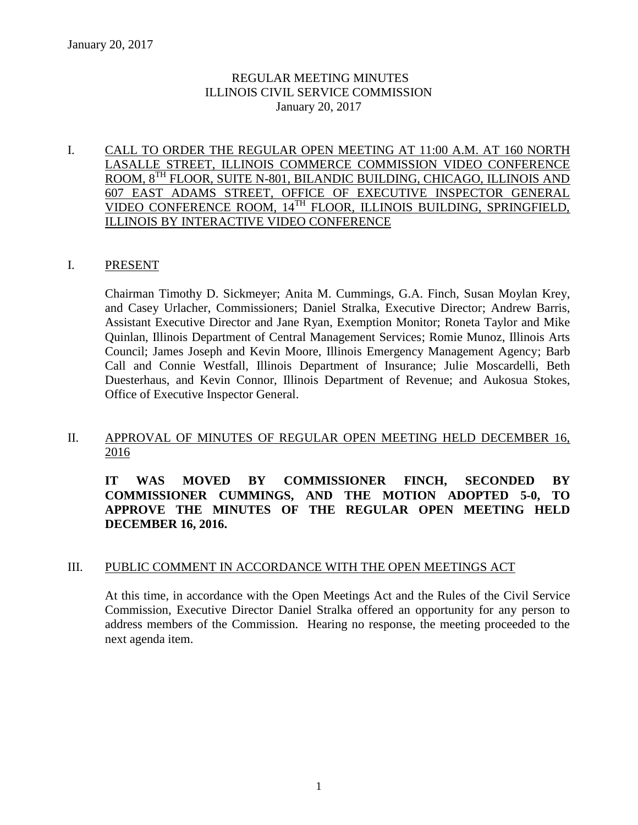## REGULAR MEETING MINUTES ILLINOIS CIVIL SERVICE COMMISSION January 20, 2017

### I. CALL TO ORDER THE REGULAR OPEN MEETING AT 11:00 A.M. AT 160 NORTH LASALLE STREET, ILLINOIS COMMERCE COMMISSION VIDEO CONFERENCE ROOM, 8 TH FLOOR, SUITE N-801, BILANDIC BUILDING, CHICAGO, ILLINOIS AND 607 EAST ADAMS STREET, OFFICE OF EXECUTIVE INSPECTOR GENERAL VIDEO CONFERENCE ROOM, 14TH FLOOR, ILLINOIS BUILDING, SPRINGFIELD, ILLINOIS BY INTERACTIVE VIDEO CONFERENCE

#### I. PRESENT

Chairman Timothy D. Sickmeyer; Anita M. Cummings, G.A. Finch, Susan Moylan Krey, and Casey Urlacher, Commissioners; Daniel Stralka, Executive Director; Andrew Barris, Assistant Executive Director and Jane Ryan, Exemption Monitor; Roneta Taylor and Mike Quinlan, Illinois Department of Central Management Services; Romie Munoz, Illinois Arts Council; James Joseph and Kevin Moore, Illinois Emergency Management Agency; Barb Call and Connie Westfall, Illinois Department of Insurance; Julie Moscardelli, Beth Duesterhaus, and Kevin Connor, Illinois Department of Revenue; and Aukosua Stokes, Office of Executive Inspector General.

## II. APPROVAL OF MINUTES OF REGULAR OPEN MEETING HELD DECEMBER 16, 2016

**IT WAS MOVED BY COMMISSIONER FINCH, SECONDED BY COMMISSIONER CUMMINGS, AND THE MOTION ADOPTED 5-0, TO APPROVE THE MINUTES OF THE REGULAR OPEN MEETING HELD DECEMBER 16, 2016.**

## III. PUBLIC COMMENT IN ACCORDANCE WITH THE OPEN MEETINGS ACT

At this time, in accordance with the Open Meetings Act and the Rules of the Civil Service Commission, Executive Director Daniel Stralka offered an opportunity for any person to address members of the Commission. Hearing no response, the meeting proceeded to the next agenda item.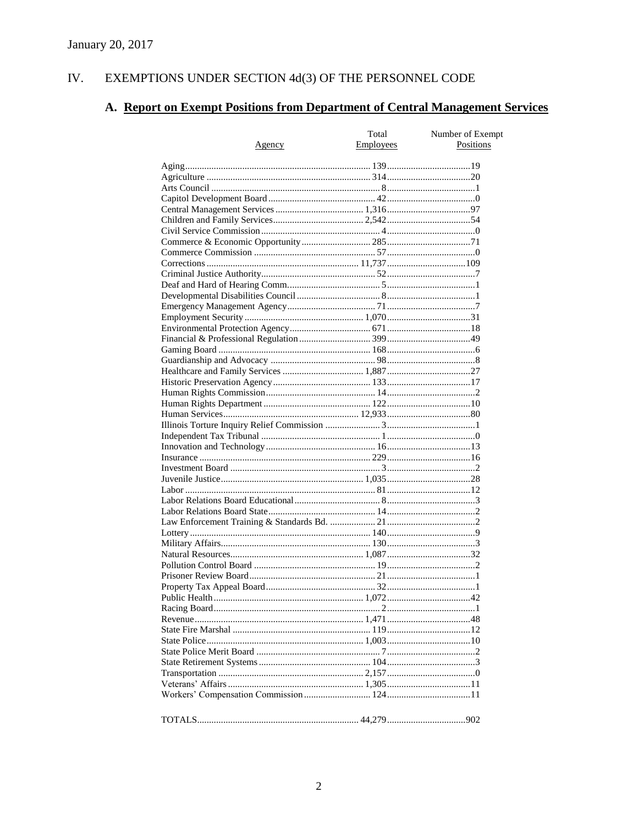#### IV. EXEMPTIONS UNDER SECTION 4d(3) OF THE PERSONNEL CODE

# A. Report on Exempt Positions from Department of Central Management Services

|               | Total     | Number of Exempt |
|---------------|-----------|------------------|
| <u>Agency</u> | Employees | Positions        |
|               |           |                  |
|               |           |                  |
|               |           |                  |
|               |           |                  |
|               |           |                  |
|               |           |                  |
|               |           |                  |
|               |           |                  |
|               |           |                  |
|               |           |                  |
|               |           |                  |
|               |           |                  |
|               |           |                  |
|               |           |                  |
|               |           |                  |
|               |           |                  |
|               |           |                  |
|               |           |                  |
|               |           |                  |
|               |           |                  |
|               |           |                  |
|               |           |                  |
|               |           |                  |
|               |           |                  |
|               |           |                  |
|               |           |                  |
|               |           |                  |
|               |           |                  |
|               |           |                  |
|               |           |                  |
|               |           |                  |
|               |           |                  |
|               |           |                  |
|               |           |                  |
|               |           |                  |
|               |           |                  |
|               |           |                  |
|               |           |                  |
|               |           |                  |
|               |           |                  |
|               |           |                  |
|               |           |                  |
|               |           |                  |
|               |           |                  |
|               |           |                  |
|               |           |                  |
|               |           |                  |
|               |           |                  |
|               |           |                  |
|               |           |                  |
|               |           |                  |
|               |           |                  |
|               |           |                  |
|               |           |                  |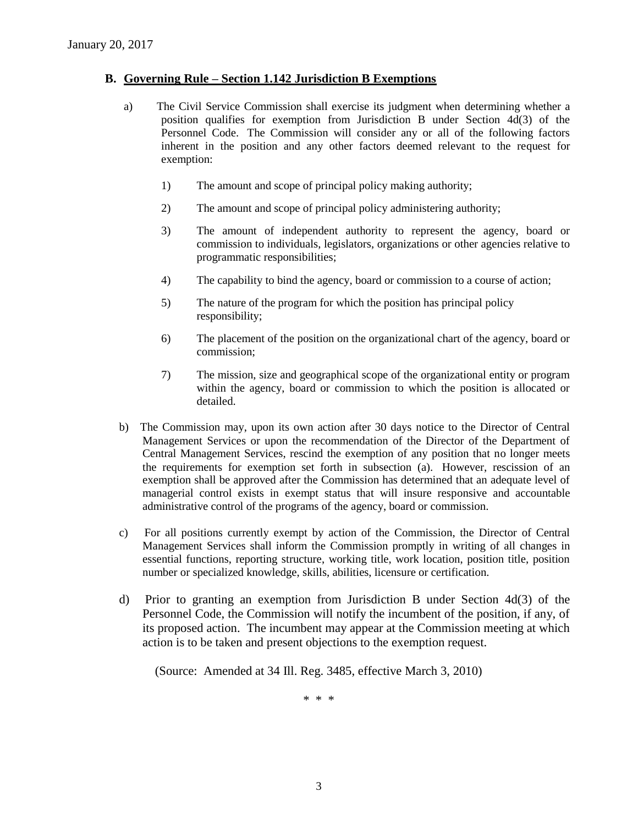#### **B. Governing Rule – Section 1.142 Jurisdiction B Exemptions**

- a) The Civil Service Commission shall exercise its judgment when determining whether a position qualifies for exemption from Jurisdiction B under Section 4d(3) of the Personnel Code. The Commission will consider any or all of the following factors inherent in the position and any other factors deemed relevant to the request for exemption:
	- 1) The amount and scope of principal policy making authority;
	- 2) The amount and scope of principal policy administering authority;
	- 3) The amount of independent authority to represent the agency, board or commission to individuals, legislators, organizations or other agencies relative to programmatic responsibilities;
	- 4) The capability to bind the agency, board or commission to a course of action;
	- 5) The nature of the program for which the position has principal policy responsibility;
	- 6) The placement of the position on the organizational chart of the agency, board or commission;
	- 7) The mission, size and geographical scope of the organizational entity or program within the agency, board or commission to which the position is allocated or detailed.
- b) The Commission may, upon its own action after 30 days notice to the Director of Central Management Services or upon the recommendation of the Director of the Department of Central Management Services, rescind the exemption of any position that no longer meets the requirements for exemption set forth in subsection (a). However, rescission of an exemption shall be approved after the Commission has determined that an adequate level of managerial control exists in exempt status that will insure responsive and accountable administrative control of the programs of the agency, board or commission.
- c) For all positions currently exempt by action of the Commission, the Director of Central Management Services shall inform the Commission promptly in writing of all changes in essential functions, reporting structure, working title, work location, position title, position number or specialized knowledge, skills, abilities, licensure or certification.
- d) Prior to granting an exemption from Jurisdiction B under Section 4d(3) of the Personnel Code, the Commission will notify the incumbent of the position, if any, of its proposed action. The incumbent may appear at the Commission meeting at which action is to be taken and present objections to the exemption request.

(Source: Amended at 34 Ill. Reg. 3485, effective March 3, 2010)

\* \* \*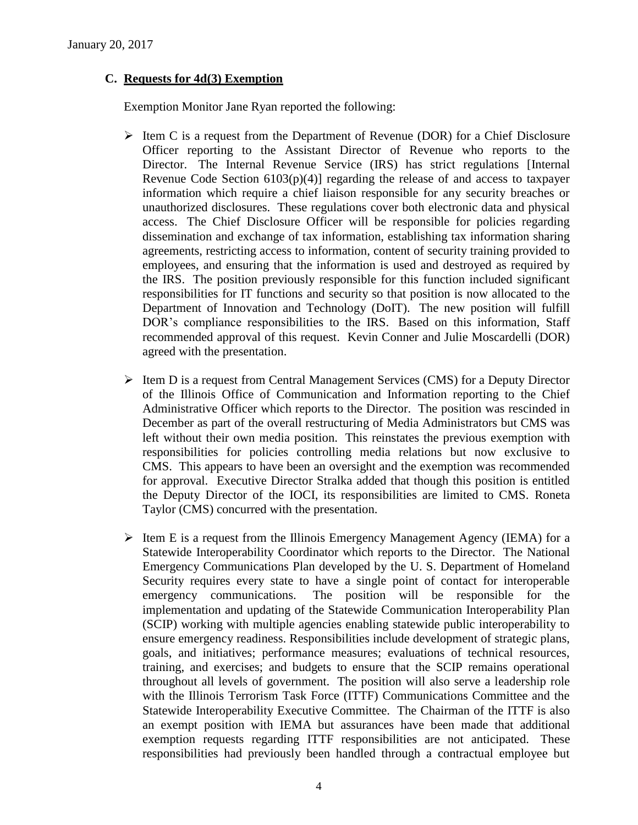### **C. Requests for 4d(3) Exemption**

Exemption Monitor Jane Ryan reported the following:

- $\triangleright$  Item C is a request from the Department of Revenue (DOR) for a Chief Disclosure Officer reporting to the Assistant Director of Revenue who reports to the Director. The Internal Revenue Service (IRS) has strict regulations [Internal Revenue Code Section  $6103(p)(4)$ ] regarding the release of and access to taxpayer information which require a chief liaison responsible for any security breaches or unauthorized disclosures. These regulations cover both electronic data and physical access. The Chief Disclosure Officer will be responsible for policies regarding dissemination and exchange of tax information, establishing tax information sharing agreements, restricting access to information, content of security training provided to employees, and ensuring that the information is used and destroyed as required by the IRS. The position previously responsible for this function included significant responsibilities for IT functions and security so that position is now allocated to the Department of Innovation and Technology (DoIT). The new position will fulfill DOR's compliance responsibilities to the IRS. Based on this information, Staff recommended approval of this request. Kevin Conner and Julie Moscardelli (DOR) agreed with the presentation.
- $\triangleright$  Item D is a request from Central Management Services (CMS) for a Deputy Director of the Illinois Office of Communication and Information reporting to the Chief Administrative Officer which reports to the Director. The position was rescinded in December as part of the overall restructuring of Media Administrators but CMS was left without their own media position. This reinstates the previous exemption with responsibilities for policies controlling media relations but now exclusive to CMS. This appears to have been an oversight and the exemption was recommended for approval. Executive Director Stralka added that though this position is entitled the Deputy Director of the IOCI, its responsibilities are limited to CMS. Roneta Taylor (CMS) concurred with the presentation.
- $\triangleright$  Item E is a request from the Illinois Emergency Management Agency (IEMA) for a Statewide Interoperability Coordinator which reports to the Director. The National Emergency Communications Plan developed by the U. S. Department of Homeland Security requires every state to have a single point of contact for interoperable emergency communications. The position will be responsible for the implementation and updating of the Statewide Communication Interoperability Plan (SCIP) working with multiple agencies enabling statewide public interoperability to ensure emergency readiness. Responsibilities include development of strategic plans, goals, and initiatives; performance measures; evaluations of technical resources, training, and exercises; and budgets to ensure that the SCIP remains operational throughout all levels of government. The position will also serve a leadership role with the Illinois Terrorism Task Force (ITTF) Communications Committee and the Statewide Interoperability Executive Committee. The Chairman of the ITTF is also an exempt position with IEMA but assurances have been made that additional exemption requests regarding ITTF responsibilities are not anticipated. These responsibilities had previously been handled through a contractual employee but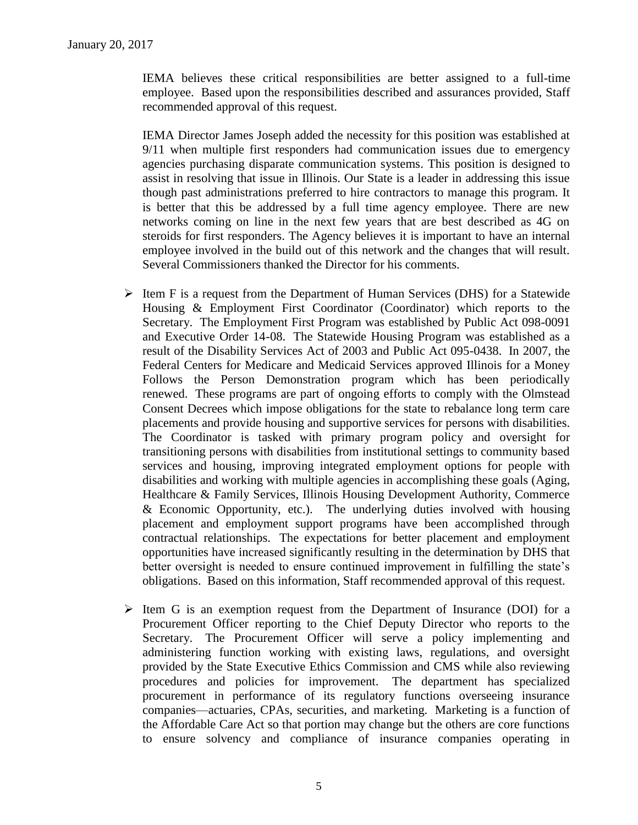IEMA believes these critical responsibilities are better assigned to a full-time employee. Based upon the responsibilities described and assurances provided, Staff recommended approval of this request.

IEMA Director James Joseph added the necessity for this position was established at 9/11 when multiple first responders had communication issues due to emergency agencies purchasing disparate communication systems. This position is designed to assist in resolving that issue in Illinois. Our State is a leader in addressing this issue though past administrations preferred to hire contractors to manage this program. It is better that this be addressed by a full time agency employee. There are new networks coming on line in the next few years that are best described as 4G on steroids for first responders. The Agency believes it is important to have an internal employee involved in the build out of this network and the changes that will result. Several Commissioners thanked the Director for his comments.

- $\triangleright$  Item F is a request from the Department of Human Services (DHS) for a Statewide Housing & Employment First Coordinator (Coordinator) which reports to the Secretary. The Employment First Program was established by Public Act 098-0091 and Executive Order 14-08. The Statewide Housing Program was established as a result of the Disability Services Act of 2003 and Public Act 095-0438. In 2007, the Federal Centers for Medicare and Medicaid Services approved Illinois for a Money Follows the Person Demonstration program which has been periodically renewed. These programs are part of ongoing efforts to comply with the Olmstead Consent Decrees which impose obligations for the state to rebalance long term care placements and provide housing and supportive services for persons with disabilities. The Coordinator is tasked with primary program policy and oversight for transitioning persons with disabilities from institutional settings to community based services and housing, improving integrated employment options for people with disabilities and working with multiple agencies in accomplishing these goals (Aging, Healthcare & Family Services, Illinois Housing Development Authority, Commerce & Economic Opportunity, etc.). The underlying duties involved with housing placement and employment support programs have been accomplished through contractual relationships. The expectations for better placement and employment opportunities have increased significantly resulting in the determination by DHS that better oversight is needed to ensure continued improvement in fulfilling the state's obligations. Based on this information, Staff recommended approval of this request.
- $\triangleright$  Item G is an exemption request from the Department of Insurance (DOI) for a Procurement Officer reporting to the Chief Deputy Director who reports to the Secretary. The Procurement Officer will serve a policy implementing and administering function working with existing laws, regulations, and oversight provided by the State Executive Ethics Commission and CMS while also reviewing procedures and policies for improvement. The department has specialized procurement in performance of its regulatory functions overseeing insurance companies—actuaries, CPAs, securities, and marketing. Marketing is a function of the Affordable Care Act so that portion may change but the others are core functions to ensure solvency and compliance of insurance companies operating in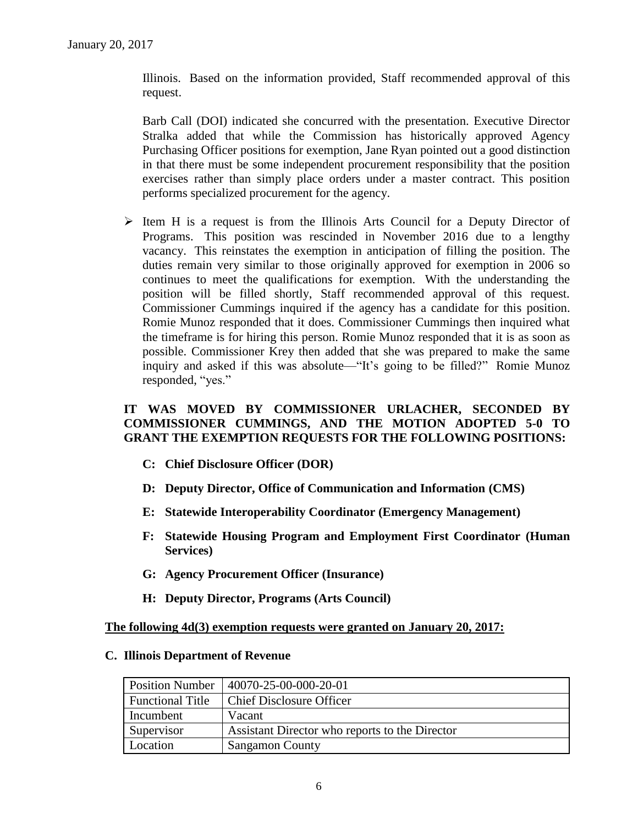Illinois. Based on the information provided, Staff recommended approval of this request.

Barb Call (DOI) indicated she concurred with the presentation. Executive Director Stralka added that while the Commission has historically approved Agency Purchasing Officer positions for exemption, Jane Ryan pointed out a good distinction in that there must be some independent procurement responsibility that the position exercises rather than simply place orders under a master contract. This position performs specialized procurement for the agency.

 $\triangleright$  Item H is a request is from the Illinois Arts Council for a Deputy Director of Programs. This position was rescinded in November 2016 due to a lengthy vacancy. This reinstates the exemption in anticipation of filling the position. The duties remain very similar to those originally approved for exemption in 2006 so continues to meet the qualifications for exemption. With the understanding the position will be filled shortly, Staff recommended approval of this request. Commissioner Cummings inquired if the agency has a candidate for this position. Romie Munoz responded that it does. Commissioner Cummings then inquired what the timeframe is for hiring this person. Romie Munoz responded that it is as soon as possible. Commissioner Krey then added that she was prepared to make the same inquiry and asked if this was absolute—"It's going to be filled?" Romie Munoz responded, "yes."

## **IT WAS MOVED BY COMMISSIONER URLACHER, SECONDED BY COMMISSIONER CUMMINGS, AND THE MOTION ADOPTED 5-0 TO GRANT THE EXEMPTION REQUESTS FOR THE FOLLOWING POSITIONS:**

- **C: Chief Disclosure Officer (DOR)**
- **D: Deputy Director, Office of Communication and Information (CMS)**
- **E: Statewide Interoperability Coordinator (Emergency Management)**
- **F: Statewide Housing Program and Employment First Coordinator (Human Services)**
- **G: Agency Procurement Officer (Insurance)**
- **H: Deputy Director, Programs (Arts Council)**

#### **The following 4d(3) exemption requests were granted on January 20, 2017:**

#### **C. Illinois Department of Revenue**

| <b>Position Number</b>  | 40070-25-00-000-20-01                          |
|-------------------------|------------------------------------------------|
| <b>Functional Title</b> | <b>Chief Disclosure Officer</b>                |
| Incumbent               | Vacant                                         |
| Supervisor              | Assistant Director who reports to the Director |
| Location                | <b>Sangamon County</b>                         |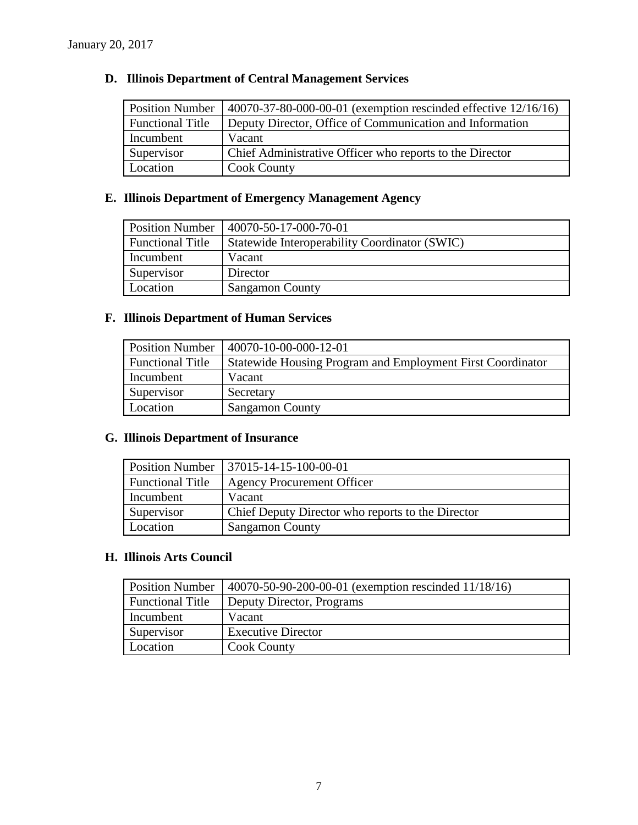## **D. Illinois Department of Central Management Services**

| <b>Position Number</b>  | 40070-37-80-000-00-01 (exemption rescinded effective 12/16/16) |
|-------------------------|----------------------------------------------------------------|
| <b>Functional Title</b> | Deputy Director, Office of Communication and Information       |
| Incumbent               | Vacant                                                         |
| Supervisor              | Chief Administrative Officer who reports to the Director       |
| Location                | <b>Cook County</b>                                             |

## **E. Illinois Department of Emergency Management Agency**

| <b>Position Number</b>  | 40070-50-17-000-70-01                         |
|-------------------------|-----------------------------------------------|
| <b>Functional Title</b> | Statewide Interoperability Coordinator (SWIC) |
| Incumbent               | Vacant                                        |
| Supervisor              | Director                                      |
| Location                | <b>Sangamon County</b>                        |

## **F. Illinois Department of Human Services**

| <b>Position Number</b>  | 40070-10-00-000-12-01                                      |
|-------------------------|------------------------------------------------------------|
| <b>Functional Title</b> | Statewide Housing Program and Employment First Coordinator |
| Incumbent               | Vacant                                                     |
| Supervisor              | Secretary                                                  |
| Location                | <b>Sangamon County</b>                                     |

## **G. Illinois Department of Insurance**

| <b>Position Number</b>  | 37015-14-15-100-00-01                             |
|-------------------------|---------------------------------------------------|
| <b>Functional Title</b> | <b>Agency Procurement Officer</b>                 |
| Incumbent               | Vacant                                            |
| Supervisor              | Chief Deputy Director who reports to the Director |
| Location                | <b>Sangamon County</b>                            |

## **H. Illinois Arts Council**

| <b>Position Number</b>  | 40070-50-90-200-00-01 (exemption rescinded 11/18/16) |
|-------------------------|------------------------------------------------------|
| <b>Functional Title</b> | Deputy Director, Programs                            |
| Incumbent               | Vacant                                               |
| Supervisor              | <b>Executive Director</b>                            |
| Location                | <b>Cook County</b>                                   |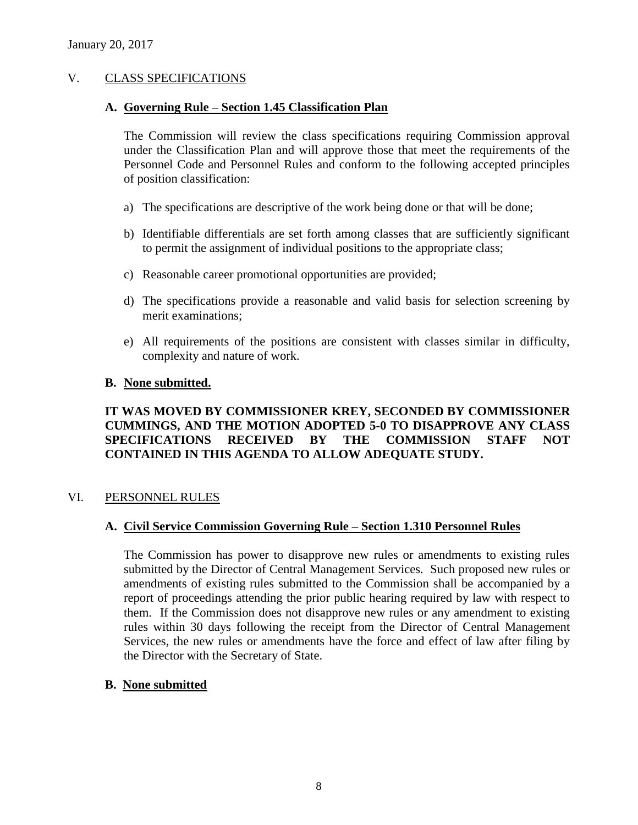#### V. CLASS SPECIFICATIONS

#### **A. Governing Rule – Section 1.45 Classification Plan**

The Commission will review the class specifications requiring Commission approval under the Classification Plan and will approve those that meet the requirements of the Personnel Code and Personnel Rules and conform to the following accepted principles of position classification:

- a) The specifications are descriptive of the work being done or that will be done;
- b) Identifiable differentials are set forth among classes that are sufficiently significant to permit the assignment of individual positions to the appropriate class;
- c) Reasonable career promotional opportunities are provided;
- d) The specifications provide a reasonable and valid basis for selection screening by merit examinations;
- e) All requirements of the positions are consistent with classes similar in difficulty, complexity and nature of work.

#### **B. None submitted.**

### **IT WAS MOVED BY COMMISSIONER KREY, SECONDED BY COMMISSIONER CUMMINGS, AND THE MOTION ADOPTED 5-0 TO DISAPPROVE ANY CLASS SPECIFICATIONS RECEIVED BY THE COMMISSION STAFF NOT CONTAINED IN THIS AGENDA TO ALLOW ADEQUATE STUDY.**

#### VI. PERSONNEL RULES

#### **A. Civil Service Commission Governing Rule – Section 1.310 Personnel Rules**

The Commission has power to disapprove new rules or amendments to existing rules submitted by the Director of Central Management Services. Such proposed new rules or amendments of existing rules submitted to the Commission shall be accompanied by a report of proceedings attending the prior public hearing required by law with respect to them. If the Commission does not disapprove new rules or any amendment to existing rules within 30 days following the receipt from the Director of Central Management Services, the new rules or amendments have the force and effect of law after filing by the Director with the Secretary of State.

#### **B. None submitted**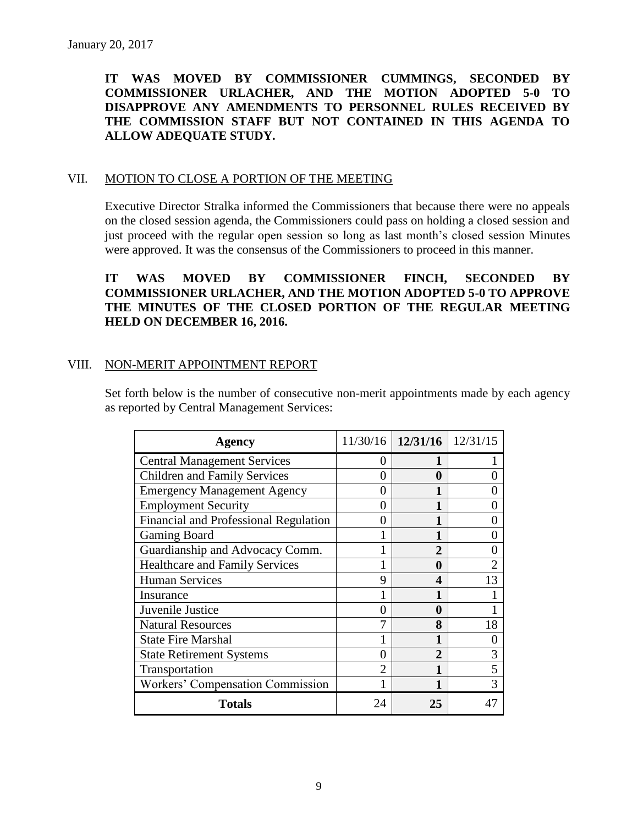## **IT WAS MOVED BY COMMISSIONER CUMMINGS, SECONDED BY COMMISSIONER URLACHER, AND THE MOTION ADOPTED 5-0 TO DISAPPROVE ANY AMENDMENTS TO PERSONNEL RULES RECEIVED BY THE COMMISSION STAFF BUT NOT CONTAINED IN THIS AGENDA TO ALLOW ADEQUATE STUDY.**

#### VII. MOTION TO CLOSE A PORTION OF THE MEETING

Executive Director Stralka informed the Commissioners that because there were no appeals on the closed session agenda, the Commissioners could pass on holding a closed session and just proceed with the regular open session so long as last month's closed session Minutes were approved. It was the consensus of the Commissioners to proceed in this manner.

## **IT WAS MOVED BY COMMISSIONER FINCH, SECONDED BY COMMISSIONER URLACHER, AND THE MOTION ADOPTED 5-0 TO APPROVE THE MINUTES OF THE CLOSED PORTION OF THE REGULAR MEETING HELD ON DECEMBER 16, 2016.**

#### VIII. NON-MERIT APPOINTMENT REPORT

Set forth below is the number of consecutive non-merit appointments made by each agency as reported by Central Management Services:

| <b>Agency</b>                                |                | $11/30/16$   12/31/16 | 12/31/15 |
|----------------------------------------------|----------------|-----------------------|----------|
| <b>Central Management Services</b>           | 0              |                       |          |
| <b>Children and Family Services</b>          | 0              | 0                     |          |
| <b>Emergency Management Agency</b>           | 0              |                       |          |
| <b>Employment Security</b>                   | 0              |                       |          |
| <b>Financial and Professional Regulation</b> | 0              |                       |          |
| Gaming Board                                 |                |                       |          |
| Guardianship and Advocacy Comm.              |                | $\mathbf 2$           |          |
| <b>Healthcare and Family Services</b>        |                | 0                     |          |
| <b>Human Services</b>                        | 9              | 4                     | 13       |
| Insurance                                    |                |                       |          |
| Juvenile Justice                             | 0              | 0                     |          |
| <b>Natural Resources</b>                     | 7              | 8                     | 18       |
| <b>State Fire Marshal</b>                    |                |                       |          |
| <b>State Retirement Systems</b>              | 0              | 2                     | 3        |
| Transportation                               | $\overline{2}$ |                       | 5        |
| Workers' Compensation Commission             |                |                       | 3        |
| <b>Totals</b>                                | 24             | 25                    |          |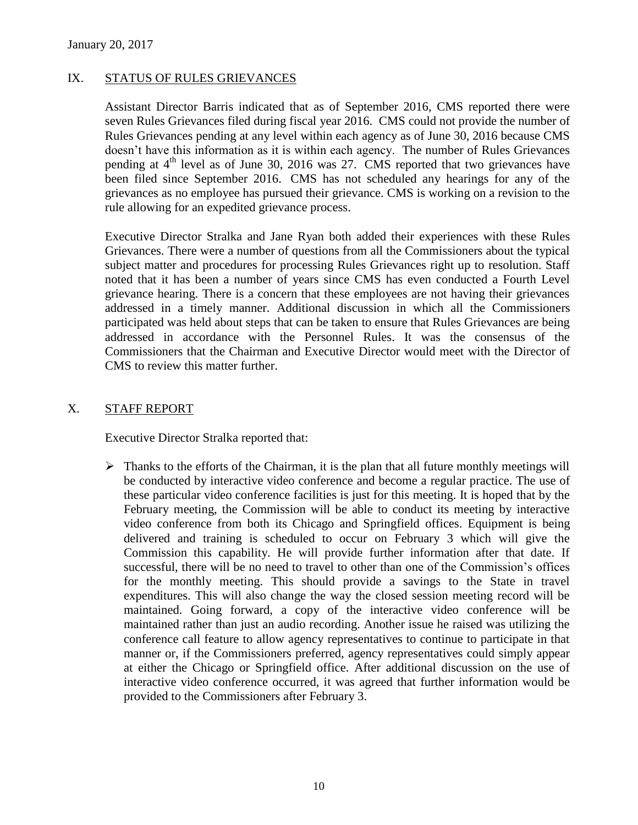### IX. STATUS OF RULES GRIEVANCES

Assistant Director Barris indicated that as of September 2016, CMS reported there were seven Rules Grievances filed during fiscal year 2016. CMS could not provide the number of Rules Grievances pending at any level within each agency as of June 30, 2016 because CMS doesn't have this information as it is within each agency. The number of Rules Grievances pending at  $4<sup>th</sup>$  level as of June 30, 2016 was 27. CMS reported that two grievances have been filed since September 2016. CMS has not scheduled any hearings for any of the grievances as no employee has pursued their grievance. CMS is working on a revision to the rule allowing for an expedited grievance process.

Executive Director Stralka and Jane Ryan both added their experiences with these Rules Grievances. There were a number of questions from all the Commissioners about the typical subject matter and procedures for processing Rules Grievances right up to resolution. Staff noted that it has been a number of years since CMS has even conducted a Fourth Level grievance hearing. There is a concern that these employees are not having their grievances addressed in a timely manner. Additional discussion in which all the Commissioners participated was held about steps that can be taken to ensure that Rules Grievances are being addressed in accordance with the Personnel Rules. It was the consensus of the Commissioners that the Chairman and Executive Director would meet with the Director of CMS to review this matter further.

#### X. STAFF REPORT

Executive Director Stralka reported that:

 $\triangleright$  Thanks to the efforts of the Chairman, it is the plan that all future monthly meetings will be conducted by interactive video conference and become a regular practice. The use of these particular video conference facilities is just for this meeting. It is hoped that by the February meeting, the Commission will be able to conduct its meeting by interactive video conference from both its Chicago and Springfield offices. Equipment is being delivered and training is scheduled to occur on February 3 which will give the Commission this capability. He will provide further information after that date. If successful, there will be no need to travel to other than one of the Commission's offices for the monthly meeting. This should provide a savings to the State in travel expenditures. This will also change the way the closed session meeting record will be maintained. Going forward, a copy of the interactive video conference will be maintained rather than just an audio recording. Another issue he raised was utilizing the conference call feature to allow agency representatives to continue to participate in that manner or, if the Commissioners preferred, agency representatives could simply appear at either the Chicago or Springfield office. After additional discussion on the use of interactive video conference occurred, it was agreed that further information would be provided to the Commissioners after February 3.